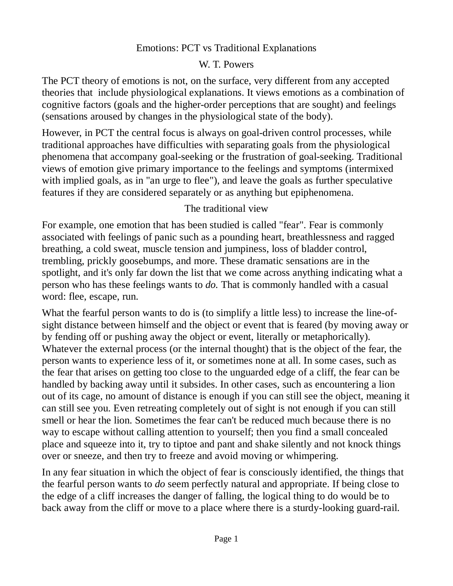#### Emotions: PCT vs Traditional Explanations

### W. T. Powers

The PCT theory of emotions is not, on the surface, very different from any accepted theories that include physiological explanations. It views emotions as a combination of cognitive factors (goals and the higher-order perceptions that are sought) and feelings (sensations aroused by changes in the physiological state of the body).

However, in PCT the central focus is always on goal-driven control processes, while traditional approaches have difficulties with separating goals from the physiological phenomena that accompany goal-seeking or the frustration of goal-seeking. Traditional views of emotion give primary importance to the feelings and symptoms (intermixed with implied goals, as in "an urge to flee"), and leave the goals as further speculative features if they are considered separately or as anything but epiphenomena.

# The traditional view

For example, one emotion that has been studied is called "fear". Fear is commonly associated with feelings of panic such as a pounding heart, breathlessness and ragged breathing, a cold sweat, muscle tension and jumpiness, loss of bladder control, trembling, prickly goosebumps, and more. These dramatic sensations are in the spotlight, and it's only far down the list that we come across anything indicating what a person who has these feelings wants to *do.* That is commonly handled with a casual word: flee, escape, run.

What the fearful person wants to do is (to simplify a little less) to increase the line-ofsight distance between himself and the object or event that is feared (by moving away or by fending off or pushing away the object or event, literally or metaphorically). Whatever the external process (or the internal thought) that is the object of the fear, the person wants to experience less of it, or sometimes none at all. In some cases, such as the fear that arises on getting too close to the unguarded edge of a cliff, the fear can be handled by backing away until it subsides. In other cases, such as encountering a lion out of its cage, no amount of distance is enough if you can still see the object, meaning it can still see you. Even retreating completely out of sight is not enough if you can still smell or hear the lion. Sometimes the fear can't be reduced much because there is no way to escape without calling attention to yourself; then you find a small concealed place and squeeze into it, try to tiptoe and pant and shake silently and not knock things over or sneeze, and then try to freeze and avoid moving or whimpering.

In any fear situation in which the object of fear is consciously identified, the things that the fearful person wants to *do* seem perfectly natural and appropriate. If being close to the edge of a cliff increases the danger of falling, the logical thing to do would be to back away from the cliff or move to a place where there is a sturdy-looking guard-rail.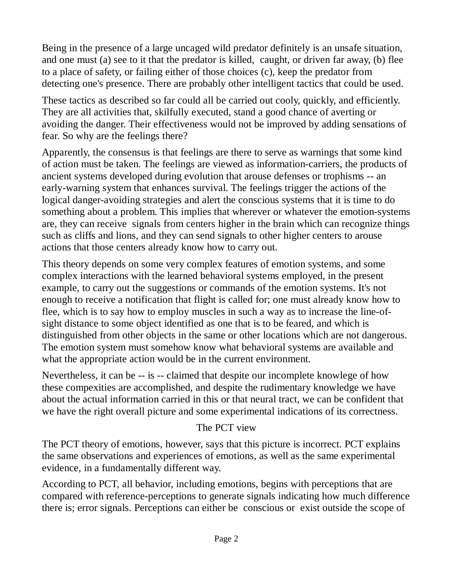Being in the presence of a large uncaged wild predator definitely is an unsafe situation, and one must (a) see to it that the predator is killed, caught, or driven far away, (b) flee to a place of safety, or failing either of those choices (c), keep the predator from detecting one's presence. There are probably other intelligent tactics that could be used.

These tactics as described so far could all be carried out cooly, quickly, and efficiently. They are all activities that, skilfully executed, stand a good chance of averting or avoiding the danger. Their effectiveness would not be improved by adding sensations of fear. So why are the feelings there?

Apparently, the consensus is that feelings are there to serve as warnings that some kind of action must be taken. The feelings are viewed as information-carriers, the products of ancient systems developed during evolution that arouse defenses or trophisms -- an early-warning system that enhances survival. The feelings trigger the actions of the logical danger-avoiding strategies and alert the conscious systems that it is time to do something about a problem. This implies that wherever or whatever the emotion-systems are, they can receive signals from centers higher in the brain which can recognize things such as cliffs and lions, and they can send signals to other higher centers to arouse actions that those centers already know how to carry out.

This theory depends on some very complex features of emotion systems, and some complex interactions with the learned behavioral systems employed, in the present example, to carry out the suggestions or commands of the emotion systems. It's not enough to receive a notification that flight is called for; one must already know how to flee, which is to say how to employ muscles in such a way as to increase the line-ofsight distance to some object identified as one that is to be feared, and which is distinguished from other objects in the same or other locations which are not dangerous. The emotion system must somehow know what behavioral systems are available and what the appropriate action would be in the current environment.

Nevertheless, it can be -- is -- claimed that despite our incomplete knowlege of how these compexities are accomplished, and despite the rudimentary knowledge we have about the actual information carried in this or that neural tract, we can be confident that we have the right overall picture and some experimental indications of its correctness.

### The PCT view

The PCT theory of emotions, however, says that this picture is incorrect. PCT explains the same observations and experiences of emotions, as well as the same experimental evidence, in a fundamentally different way.

According to PCT, all behavior, including emotions, begins with perceptions that are compared with reference-perceptions to generate signals indicating how much difference there is; error signals. Perceptions can either be conscious or exist outside the scope of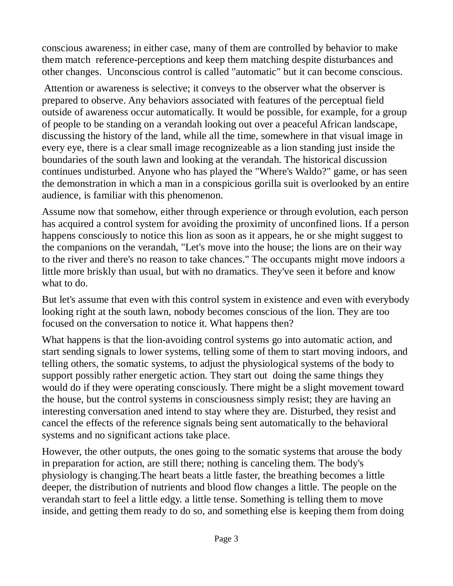conscious awareness; in either case, many of them are controlled by behavior to make them match reference-perceptions and keep them matching despite disturbances and other changes. Unconscious control is called "automatic" but it can become conscious.

Attention or awareness is selective; it conveys to the observer what the observer is prepared to observe. Any behaviors associated with features of the perceptual field outside of awareness occur automatically. It would be possible, for example, for a group of people to be standing on a verandah looking out over a peaceful African landscape, discussing the history of the land, while all the time, somewhere in that visual image in every eye, there is a clear small image recognizeable as a lion standing just inside the boundaries of the south lawn and looking at the verandah. The historical discussion continues undisturbed. Anyone who has played the "Where's Waldo?" game, or has seen the demonstration in which a man in a conspicious gorilla suit is overlooked by an entire audience, is familiar with this phenomenon.

Assume now that somehow, either through experience or through evolution, each person has acquired a control system for avoiding the proximity of unconfined lions. If a person happens consciously to notice this lion as soon as it appears, he or she might suggest to the companions on the verandah, "Let's move into the house; the lions are on their way to the river and there's no reason to take chances." The occupants might move indoors a little more briskly than usual, but with no dramatics. They've seen it before and know what to do.

But let's assume that even with this control system in existence and even with everybody looking right at the south lawn, nobody becomes conscious of the lion. They are too focused on the conversation to notice it. What happens then?

What happens is that the lion-avoiding control systems go into automatic action, and start sending signals to lower systems, telling some of them to start moving indoors, and telling others, the somatic systems, to adjust the physiological systems of the body to support possibly rather energetic action. They start out doing the same things they would do if they were operating consciously. There might be a slight movement toward the house, but the control systems in consciousness simply resist; they are having an interesting conversation aned intend to stay where they are. Disturbed, they resist and cancel the effects of the reference signals being sent automatically to the behavioral systems and no significant actions take place.

However, the other outputs, the ones going to the somatic systems that arouse the body in preparation for action, are still there; nothing is canceling them. The body's physiology is changing.The heart beats a little faster, the breathing becomes a little deeper, the distribution of nutrients and blood flow changes a little. The people on the verandah start to feel a little edgy. a little tense. Something is telling them to move inside, and getting them ready to do so, and something else is keeping them from doing